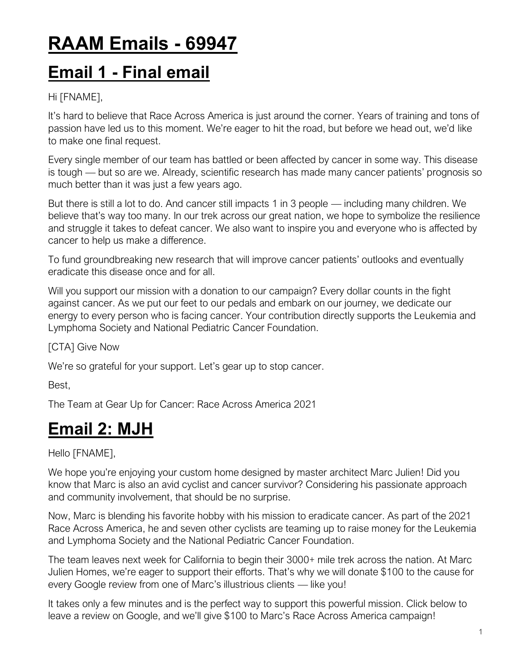# **RAAM Emails - 69947**

## **Email 1 - Final email**

#### Hi [FNAME],

It's hard to believe that Race Across America is just around the corner. Years of training and tons of passion have led us to this moment. We're eager to hit the road, but before we head out, we'd like to make one final request.

Every single member of our team has battled or been affected by cancer in some way. This disease is tough — but so are we. Already, scientific research has made many cancer patients' prognosis so much better than it was just a few years ago.

But there is still a lot to do. And cancer still impacts 1 in 3 people — including many children. We believe that's way too many. In our trek across our great nation, we hope to symbolize the resilience and struggle it takes to defeat cancer. We also want to inspire you and everyone who is affected by cancer to help us make a difference.

To fund groundbreaking new research that will improve cancer patients' outlooks and eventually eradicate this disease once and for all.

Will you support our mission with a donation to our campaign? Every dollar counts in the fight against cancer. As we put our feet to our pedals and embark on our journey, we dedicate our energy to every person who is facing cancer. Your contribution directly supports the Leukemia and Lymphoma Society and National Pediatric Cancer Foundation.

[CTA] Give Now

We're so grateful for your support. Let's gear up to stop cancer.

Best,

The Team at Gear Up for Cancer: Race Across America 2021

## **Email 2: MJH**

#### Hello [FNAME],

We hope you're enjoying your custom home designed by master architect Marc Julien! Did you know that Marc is also an avid cyclist and cancer survivor? Considering his passionate approach and community involvement, that should be no surprise.

Now, Marc is blending his favorite hobby with his mission to eradicate cancer. As part of the 2021 Race Across America, he and seven other cyclists are teaming up to raise money for the Leukemia and Lymphoma Society and the National Pediatric Cancer Foundation.

The team leaves next week for California to begin their 3000+ mile trek across the nation. At Marc Julien Homes, we're eager to support their efforts. That's why we will donate \$100 to the cause for every Google review from one of Marc's illustrious clients — like you!

It takes only a few minutes and is the perfect way to support this powerful mission. Click below to leave a review on Google, and we'll give \$100 to Marc's Race Across America campaign!